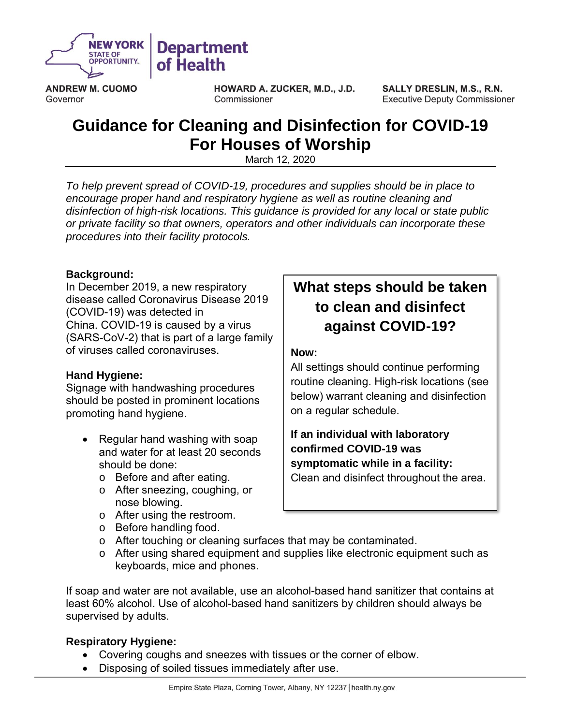

**ANDREW M. CUOMO** Governor

HOWARD A. ZUCKER, M.D., J.D. Commissioner

**SALLY DRESLIN, M.S., R.N. Executive Deputy Commissioner** 

## **Guidance for Cleaning and Disinfection for COVID-19 For Houses of Worship**

March 12, 2020

*To help prevent spread of COVID-19, procedures and supplies should be in place to encourage proper hand and respiratory hygiene as well as routine cleaning and disinfection of high-risk locations. This guidance is provided for any local or state public or private facility so that owners, operators and other individuals can incorporate these procedures into their facility protocols.*

## **Background:**

In December 2019, a new respiratory disease called Coronavirus Disease 2019 (COVID-19) was detected in China. COVID-19 is caused by a virus (SARS-CoV-2) that is part of a large family of viruses called coronaviruses.

## **Hand Hygiene:**

Signage with handwashing procedures should be posted in prominent locations promoting hand hygiene.

- Regular hand washing with soap and water for at least 20 seconds should be done:
	- o Before and after eating.
	- o After sneezing, coughing, or nose blowing.
	- o After using the restroom.
	- o Before handling food.
	- o After touching or cleaning surfaces that may be contaminated.
	- $\circ$  After using shared equipment and supplies like electronic equipment such as keyboards, mice and phones.

If soap and water are not available, use an alcohol-based hand sanitizer that contains at least 60% alcohol. Use of alcohol-based hand sanitizers by children should always be supervised by adults.

## **Respiratory Hygiene:**

- Covering coughs and sneezes with tissues or the corner of elbow.
- Disposing of soiled tissues immediately after use.

## **What steps should be taken to clean and disinfect against COVID-19?**

### **Now:**

All settings should continue performing routine cleaning. High-risk locations (see below) warrant cleaning and disinfection on a regular schedule.

**If an individual with laboratory confirmed COVID-19 was symptomatic while in a facility:**

Clean and disinfect throughout the area.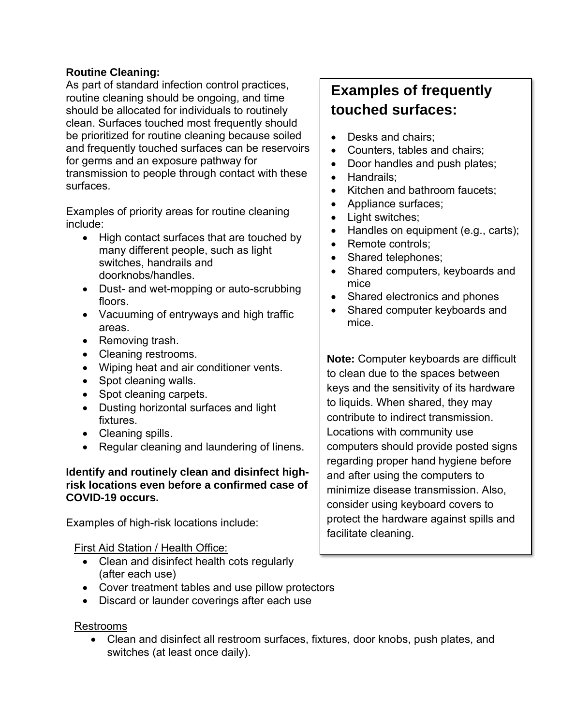## **Routine Cleaning:**

As part of standard infection control practices, routine cleaning should be ongoing, and time should be allocated for individuals to routinely clean. Surfaces touched most frequently should be prioritized for routine cleaning because soiled and frequently touched surfaces can be reservoirs for germs and an exposure pathway for transmission to people through contact with these surfaces.

Examples of priority areas for routine cleaning include:

- High contact surfaces that are touched by many different people, such as light switches, handrails and doorknobs/handles.
- Dust- and wet-mopping or auto-scrubbing floors.
- Vacuuming of entryways and high traffic areas.
- Removing trash.
- Cleaning restrooms.
- Wiping heat and air conditioner vents.
- Spot cleaning walls.
- Spot cleaning carpets.
- Dusting horizontal surfaces and light fixtures.
- Cleaning spills.
- Regular cleaning and laundering of linens.

## **Identify and routinely clean and disinfect highrisk locations even before a confirmed case of COVID-19 occurs.**

Examples of high-risk locations include:

## First Aid Station / Health Office:

- Clean and disinfect health cots regularly (after each use)
- Cover treatment tables and use pillow protectors
- Discard or launder coverings after each use

## Restrooms

• Clean and disinfect all restroom surfaces, fixtures, door knobs, push plates, and switches (at least once daily).

# **Examples of frequently touched surfaces:**

- Desks and chairs:
- Counters, tables and chairs;
- Door handles and push plates;
- Handrails;
- Kitchen and bathroom faucets;
- Appliance surfaces;
- Light switches:
- Handles on equipment (e.g., carts);
- Remote controls:
- Shared telephones;
- Shared computers, keyboards and mice
- Shared electronics and phones
- Shared computer keyboards and mice.

**Note:** Computer keyboards are difficult to clean due to the spaces between keys and the sensitivity of its hardware to liquids. When shared, they may contribute to indirect transmission. Locations with community use computers should provide posted signs regarding proper hand hygiene before and after using the computers to minimize disease transmission. Also, consider using keyboard covers to protect the hardware against spills and facilitate cleaning.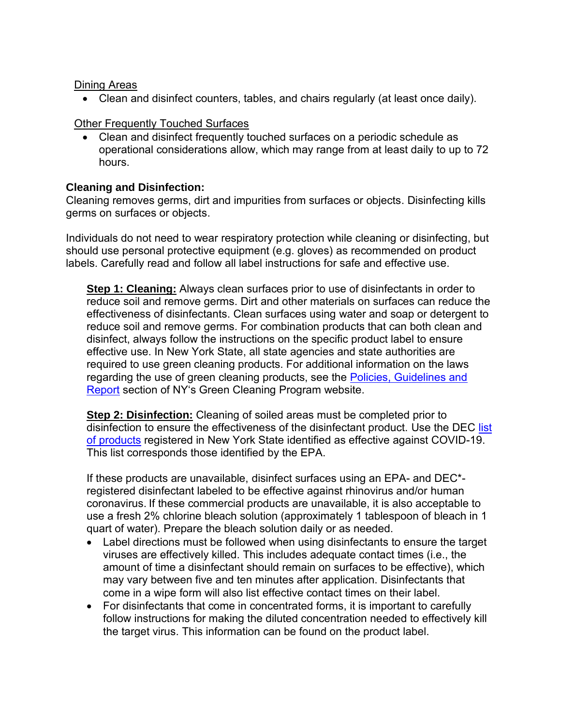## Dining Areas

• Clean and disinfect counters, tables, and chairs regularly (at least once daily).

## Other Frequently Touched Surfaces

• Clean and disinfect frequently touched surfaces on a periodic schedule as operational considerations allow, which may range from at least daily to up to 72 hours.

## **Cleaning and Disinfection:**

Cleaning removes germs, dirt and impurities from surfaces or objects. Disinfecting kills germs on surfaces or objects.

Individuals do not need to wear respiratory protection while cleaning or disinfecting, but should use personal protective equipment (e.g. gloves) as recommended on product labels. Carefully read and follow all label instructions for safe and effective use.

**Step 1: Cleaning:** Always clean surfaces prior to use of disinfectants in order to reduce soil and remove germs. Dirt and other materials on surfaces can reduce the effectiveness of disinfectants. Clean surfaces using water and soap or detergent to reduce soil and remove germs. For combination products that can both clean and disinfect, always follow the instructions on the specific product label to ensure effective use. In New York State, all state agencies and state authorities are required to use green cleaning products. For additional information on the laws regarding the use of green cleaning products, see the Policies, Guidelines and [Report](https://greencleaning.ny.gov/Policies.asp) section of NY's Green Cleaning Program website.

**Step 2: Disinfection:** Cleaning of soiled areas must be completed prior to disinfection to ensure the effectiveness of the disinfectant product. Use the DEC list [of products](http://www.dec.ny.gov/docs/materials_minerals_pdf/covid19.pdf) registered in New York State identified as effective against COVID-19. This list corresponds those identified by the EPA.

If these products are unavailable, disinfect surfaces using an EPA- and DEC\* registered disinfectant labeled to be effective against rhinovirus and/or human coronavirus. If these commercial products are unavailable, it is also acceptable to use a fresh 2% chlorine bleach solution (approximately 1 tablespoon of bleach in 1 quart of water). Prepare the bleach solution daily or as needed.

- Label directions must be followed when using disinfectants to ensure the target viruses are effectively killed. This includes adequate contact times (i.e., the amount of time a disinfectant should remain on surfaces to be effective), which may vary between five and ten minutes after application. Disinfectants that come in a wipe form will also list effective contact times on their label.
- For disinfectants that come in concentrated forms, it is important to carefully follow instructions for making the diluted concentration needed to effectively kill the target virus. This information can be found on the product label.